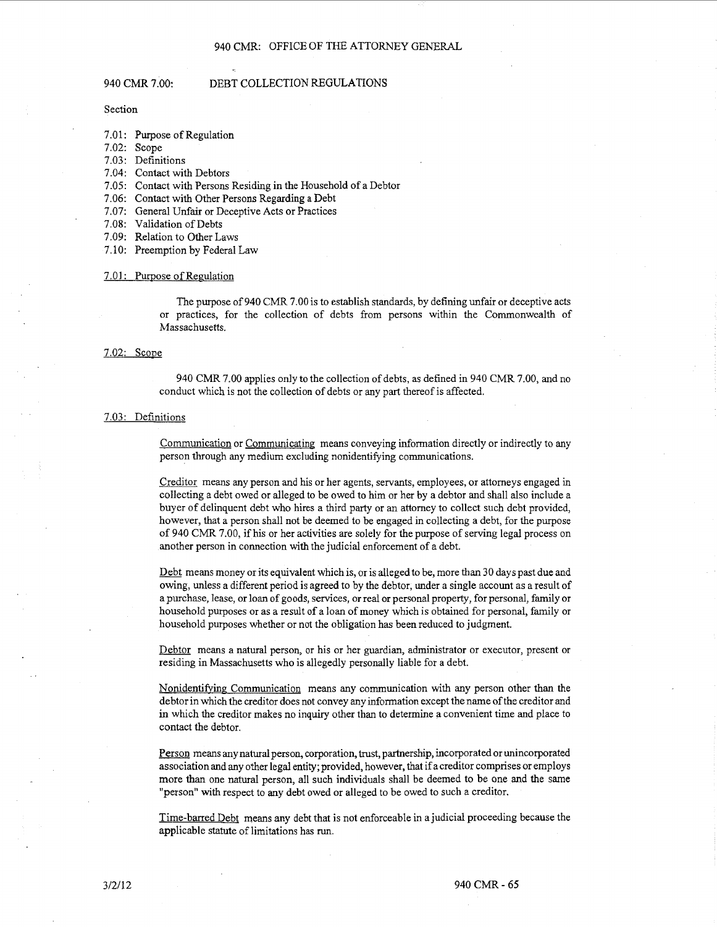#### 940 CMR 7.00: DEBT COLLECTION REGULATIONS

Section

- 7.01: Purpose of Regulation
- 7.02: Scope
- 7.03: Definitions
- 7.04: Contact with Debtors
- 7.05: Contact with Persons Residing in the Household of a Debtor
- 7.06: Contact with Other Persons Regarding a Debt
- 7.07: General Unfair or Deceptive Acts or Practices
- 7.08: Validation of Debts
- 7.09: Relation to Other Laws
- 7.10: Preemption by Federal Law

### 7.01: Purpose of Regulation

The purpose of940 CMR 7.00 is to establish standards, by defining unfair or deceptive acts or practices, for the collection of debts from persons within the Commonwealth of Massachusetts.

### 7.02: Scope

940 CMR 7.00 applies only to the collection of debts, as defined in 940 CMR 7.00, and no conduct which is not the collection of debts or any part thereof is affected.

### 7.03: Definitions

Communication or Communicating means conveying information directly or indirectly to any person through any medium excluding nonidentifying communications.

Creditor means any person and his or her agents, servants, employees, or attorneys engaged in collecting a debt owed or alleged to be owed to him or her by a debtor and shall also include a buyer of delinquent debt who hires a third party or an attorney to collect such debt provided, however, that a person shall not be deemed to be engaged in collecting a debt, for the purpose of 940 CMR 7.00, if his or her activities are solely for the purpose of serving legal process on another person in connection with the judicial enforcement of a debt.

Debt means money or its equivalent which is, or is alleged to be, more than 30 days past due and owing, unless a different period is agreed to by the debtor, under a single account as a result of a purchase, lease, or loan of goods, services, or real or personal property, for personal, family or household purposes or as a result of a loan of money which is obtained for personal, family or household purposes whether or not the obligation has been reduced to judgment.

Debtor means a natural person, or his or her guardian, administrator or executor, present or residing in Massachusetts who is allegedly personally liable for a debt.

Nonidentifying Communication means any communication with any person other than the debtor in which the creditor does not convey any information except the name of the creditor and in which the creditor makes no inquiry other than to determine a convenient time and place to contact the debtor.

Person means any natural person, corporation, trust, partnership, incorporated or unincorporated association and any other legal entity; provided, however, that if a creditor comprises or employs more than one natural person, all such individuals shall be deemed to be one and the same "person" with respect to any debt owed or alleged to be owed to such a creditor.

Time-barred Debt means any debt that is not enforceable in a judicial proceeding because the applicable statute of limitations has run.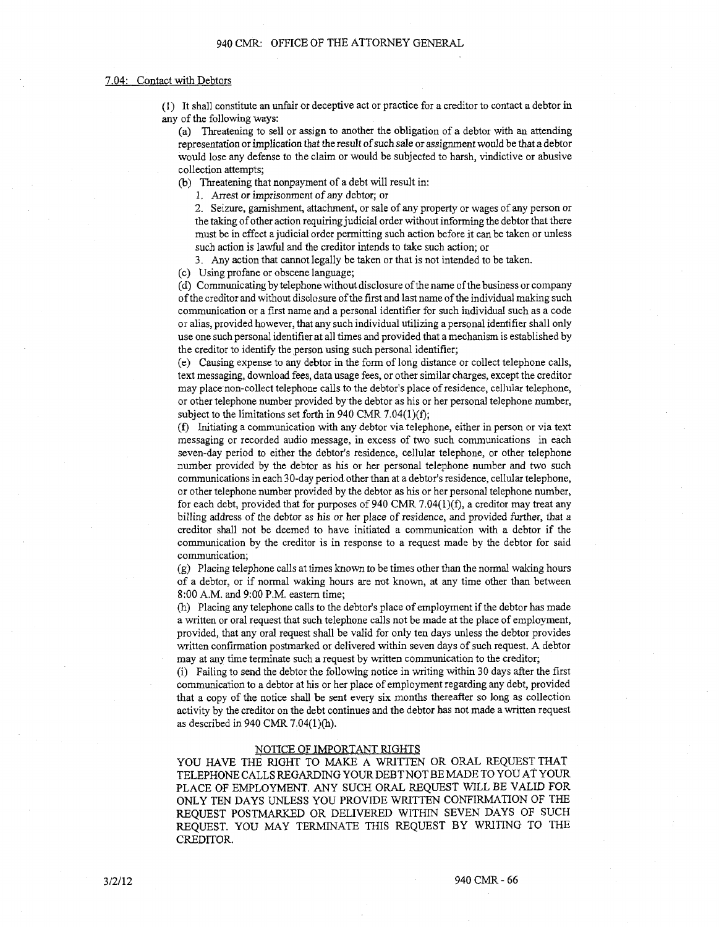## 7.04: Contact with Debtors

(1) It shall constitute an unfair or deceptive act or practice for a creditor to contact a debtor in any of the following ways:

(a) Threatening to sell or assign to another the obligation of a debtor with an attending representation or implication that the result of such sale or assignment would be that a debtor would lose any defense to the claim or would be subjected to harsh, vindictive or abusive collection attempts;

(b) Threatening that nonpayment of a debt will result in:

1. Arrest or imprisonment of any debtor; or

2. Seizure, garnishment, attachment, or sale of any property or wages of any person or the taking of other action requiring judicial order without informing the debtor that there must be in effect a judicial order permitting such action before it can be taken or unless such action is lawful and the creditor intends to take such action; or

3. Any action that cannot legally be taken or that is not intended to be taken.

(c) Using profane or obscene language;

( d) Communicating by telephone without disclosure of the name of the business or company of the creditor and without disclosure of the first and last name of the individual making such communication or a first name and a personal identifier for such individual such as a code or alias, provided however, that any such individual utilizing a personal identifier shall only use one such personal identifier at all times and provided that a mechanism is established by the creditor to identify the person using such personal identifier;

( e) Causing expense to any debtor in the form oflong distance or collect telephone calls, text messaging, download fees, data usage fees, or other similar charges, except the creditor may place non-collect telephone calls to the debtor's place of residence, cellular telephone, or other telephone number provided by the debtor as his or her personal telephone number, subject to the limitations set forth in 940 CMR 7.04(1)(f);

(f) Initiating a communication with any debtor via telephone, either in person or via text messaging or recorded audio message, in excess of two such communications in each seven-day period to either the debtor's residence, cellular telephone, or other telephone number provided by the debtor as his or her personal telephone number and two such communications in each 30-day period other than at a debtor's residence, cellular telephone, or other telephone number provided by the debtor as his or her personal telephone number, for each debt, provided that for purposes of 940 CMR 7.04( $l$ )(f), a creditor may treat any billing address of the debtor as his or her place of residence, and provided further, that a creditor shall not be deemed to have initiated a communication with a debtor if the communication by the creditor is in response to a request made by the debtor for said communication;

(g) Placing telephone calls at times known to be times other than the nonnal waking hours of a debtor, or if normal waking hours are not known, at any time other than between 8:00 A.M. and 9:00 P.M. eastern time;

(h) Placing any telephone calls to the debtor's place of employment if the debtor has made a written or oral request that such telephone calls not be made at the place of employment, provided, that any oral request shall be valid for only ten days unless the debtor provides written confirmation postmarked or delivered within seven days of such request. A debtor may at any time terminate such a request by written communication to the creditor;

(i) Failing to send the debtor the following notice in writing within 30 days after the first communication to a debtor at his or her place of employment regarding any debt, provided that a copy of the notice shall be sent every six months thereafter so long as collection activity by the creditor on the debt continues and the debtor has not made a written request as described in 940 CMR 7.04(1)(h).

### NOTICE OF IMPORTANT RIGHTS

YOU HAVE THE RIGHT TO MAKE A WRITTEN OR ORAL REQUEST THAT TELEPHONE CALLS REGARDING YOUR DEBT NOT BE MADE TO YOU AT YOUR PLACE OF EMPLOYMENT. ANY SUCH ORAL REQUEST WILL BE VALID FOR ONLY TEN DAYS UNLESS YOU PROVIDE WRITTEN CONFIRMATION OF THE REQUEST POSTMARKED OR DELIVERED WITHIN SEVEN DAYS OF SUCH REQUEST. YOU MAY TERMINATE THIS REQUEST BY WRITING TO THE CREDITOR.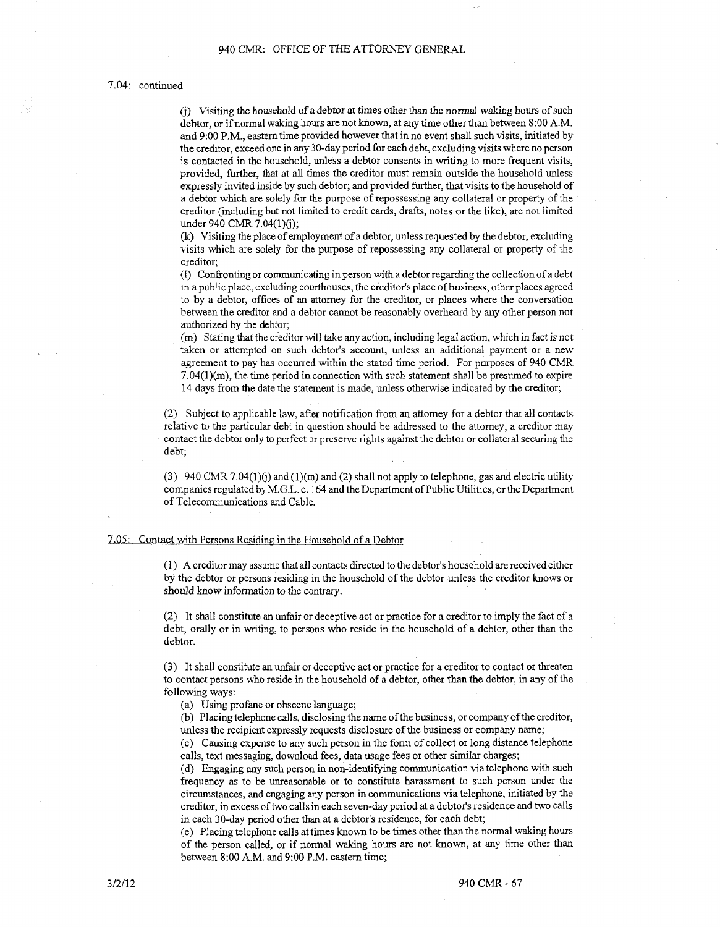## 7.04: continued

(j) Visiting the household of a debtor at times other than the normal waking hours of such debtor, or if normal waking hours are not known, at any time other than between 8 :00 A.M. and 9:00 P.M., eastern time provided however that in no event shall such visits, initiated by the creditor, exceed one in any 30-day period for each debt, excluding visits where no person is contacted in the household, unless a debtor consents in writing to more frequent visits, provided, further, that at all times the creditor must remain outside the household unless expressly invited inside by such debtor; and provided further, that visits to the household of a debtor which are solely for the purpose of repossessing any collateral or property of the creditor (including but not limited to credit cards, drafts, notes or the like), are not limited under 940 CMR 7.04(1)(j);

(k) Visiting the place of employment of a debtor, unless requested by the debtor, excluding visits which are solely for the purpose of repossessing any collateral or property of the creditor;

(l) Confronting or communicating in person with a debtor regarding the collection of a debt in a public place, excluding courthouses, the creditor's place of business, other places agreed to by a debtor, offices of an attorney for the creditor, or places where the conversation between the creditor and a debtor cannot be reasonably overheard by any other person not authorized by the debtor;

(m) Stating that the creditor will take any action, including legal action, which in fact is not taken or attempted on such debtor's account, unless an additional payment or a new agreement to pay has occurred within the stated time period. For purposes of 940 CMR  $7.04(1)(m)$ , the time period in connection with such statement shall be presumed to expire 14 days from the date the statement is made, unless otherwise indicated by the creditor;

(2) Subject to applicable law, after notification from an attorney for a debtor that all contacts relative to the particular debt in question should be addressed to the attorney, a creditor may contact the debtor only to perfect or preserve rights against the debtor or collateral securing the debt;

(3) 940 CMR 7.04(1)(j) and (1)(m) and (2) shall not apply to telephone, gas and electric utility companies regulated by M.G.L. c. 164 and the Department of Public Utilities, or the Department of Telecommunications and Cable.

# 7.05: Contact with Persons Residing in the Household of a Debtor

( 1) A creditor may assume that all contacts directed to the debtor's household are received either by the debtor or persons residing in the household of the debtor unless the creditor knows or should know information *to* the contrary.

(2) It shall constitute an unfair or deceptive act or practice for a creditor to imply the fact of a debt, orally or in writing, to persons who reside in the household of a debtor, other than the debtor.

(3) It shall constitute an unfair or deceptive act or practice for a creditor to contact or threaten to contact persons who reside in the household of a debtor, other than the debtor, in any of the following ways:

(a) Using profane or obscene language;

(b) Placing telephone calls, disclosing the name of the business, or company of the creditor, unless the recipient expressly requests disclosure of the business or company name;

( c) Causing expense to any such person in the form of collect or long distance telephone calls, text messaging, download fees, data usage fees or other similar charges;

( d) Engaging any such person in non-identifying communication via telephone with such frequency as to be unreasonable or to constitute harassment to such person under the circumstances, and engaging any person in communications via telephone, initiated by the creditor, in excess of two calls in each seven-day period at a debtor's residence and two calls in each 30-day period other than at a debtor's residence, for each debt;

( e) Placing telephone calls at times known to be times other than the normal waking hours of the person called, or if normal waking hours are not known, at any time other than between 8:00 A.M. and 9:00 P.M. eastern time;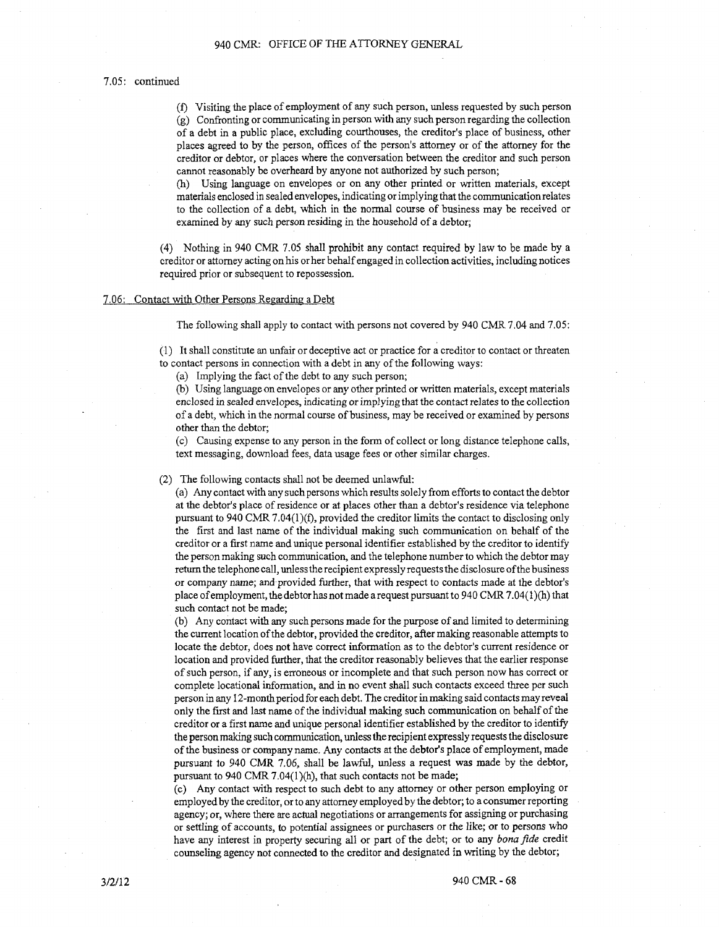#### 7.05: continued

(f) Visiting the place of employment of any such person, unless requested by such person (g) Confronting or communicating in person with any such person regarding the collection of a debt in a public place, excluding courthouses, the creditor's place of business, other places agreed to by the person, offices of the person's attorney or of the attorney for the creditor or debtor, or places where the conversation between the creditor and such person cannot reasonably be overheard by anyone not authorized by such person;

(h) Using language on envelopes or on any other printed or written materials, except materials enclosed in sealed envelopes, indicating or implying that the communication relates to the collection of a debt, which in the normal course of business may be received or examined by any such person residing *in* the household of a debtor;

(4) Nothing in 940 CMR 7.05 shall prohibit any contact required by law to be made by a creditor or attorney acting on his or her behalf engaged in collection activities, including notices required prior or subsequent to repossession.

#### 7.06: Contact with Other Persons Regarding a Debt

The following shall apply to contact with persons not covered by 940 CMR 7.04 and 7.05:

(1) It shall constitute an unfair or deceptive act or practice for a creditor to contact or threaten to contact persons in connection with a debt in any of the following ways:

(a) Implying the fact of the debt to any such person;

(b) Using language on envelopes or any other printed or written materials, except materials enclosed in sealed envelopes, indicating or implying that the contact relates to the collection of a debt, which in the normal course of business, may be received or examined by persons other than the debtor;

( c) Causing expense to any person in the form of collect or long distance telephone calls, text messaging, download fees, data usage fees or other similar charges.

### (2) The following contacts shall not be deemed unlawful:

(a) Any contact with any such persons which results solely from efforts to contact the debtor at the debtor's place of residence or at places other than a debtor's residence via telephone pursuant to 940 CMR 7.04(l)(f), provided the creditor limits the contact to disclosing only the first and last name of the individual making such communication on behalf of the creditor or a first name and unique personal identifier established by the creditor to identify the person making such communication, and the telephone number to which the debtor may return the telephone call, unlesstherecipientexpresslyrequests the disclosure of the business or company name; and provided further, that with respect to contacts made at the debtor's place of employment, the debtor has not made a request pursuant to 940 CMR 7.04(1 )(h) that such contact not be made;

(b) Any contact with any such persons made for the purpose of and limited to determining the current location of the debtor, provided the creditor, after making reasonable attempts to locate the debtor, does not have correct information as to the debtor's current residence or location and provided further, that the creditor reasonably believes that the earlier response of such person, if any, is erroneous or incomplete and that such person now has correct or complete locational information, and in no event shall such contacts exceed three per such person in any 12-month period for each debt. The creditor in making said contacts may reveal only the first and last name of the individual making such communication on behalf of the creditor or a first name and unique personal identifier established by the creditor to identify the person making such communication, unless the recipient expressly requests the disclosure of the business or company name. Any contacts at the debtor's place of employment, made pursuant to 940 CMR 7.06, shall be lawful, unless a request was made by the debtor, pursuant to 940 CMR 7.04(1)(h), that such contacts not be made;

(c) Any contact with respect to such debt to any attorney or other person employing or employed by the creditor, or to any attorney employed by the debtor; to a consumer reporting agency; or, where there are actual negotiations or arrangements for assigning or purchasing or settling of accounts, to potential assignees or purchasers or the like; or to persons who have any interest in property securing all or part of the debt; or to any *bona fide* credit counseling agency not connected to the creditor and designated in writing by the debtor;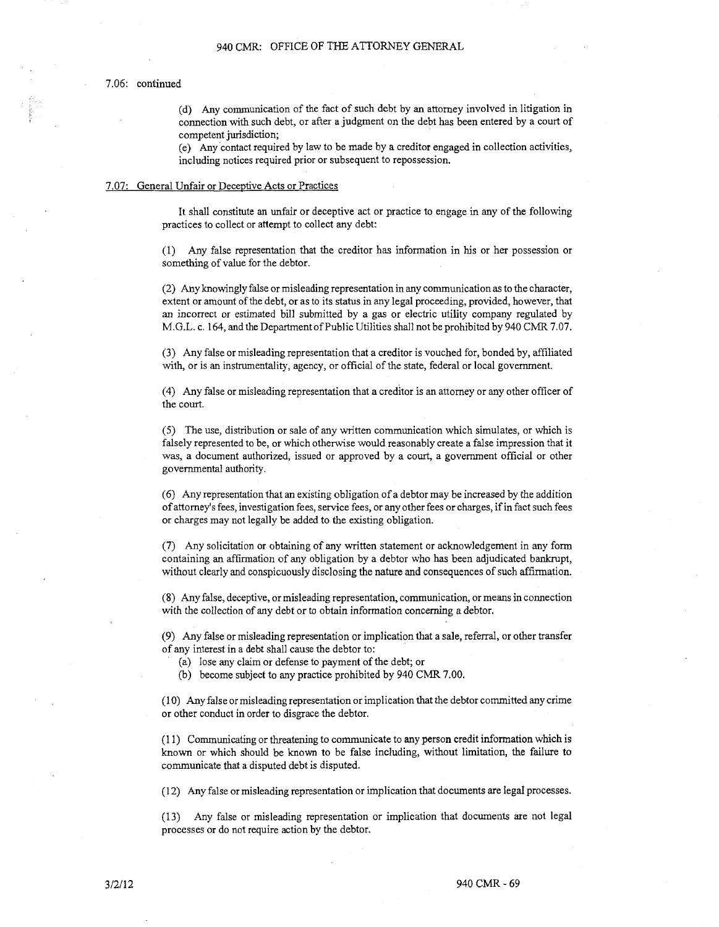### 7.06: continued

(d) Any communication of the fact of such debt by an attorney involved in litigation in connection with such debt, or after a judgment on the debt has been entered by a court of competent jurisdiction;

(e) Any contact required by law to be made by a creditor engaged in collection activities, including notices required prior or subsequent to repossession.

#### 7.07: General Unfair or Deceptive Acts or Practices

It shall constitute an unfair or deceptive act or practice to engage in any of the following practices to collect or attempt to collect any debt:

(1) Any false representation that the creditor has information in his or her possession or something of value for the debtor.

(2) Any knowingly false or misleading representation in any communication as to the character, extent or amount of the debt, or as to its status in any legal proceeding, provided, however, that an incorrect or estimated bill submitted by a gas or electric utility company regulated by M.G.L. c. 164, and the Department of Public Utilities shall not be prohibited by 940 CMR 7.07.

(3) Any false or misleading representation that a creditor is vouched for, bonded by, affiliated with, or is an instrumentality, agency, or official of the state, federal or local government.

( 4) Any false or misleading representation that a creditor is an attorney or any other officer of the court.

(5) The use, distribution or sale of any written communication which simulates, or which is falsely represented to be, or which otherwise would reasonably create a false impression that it was, a document authorized, issued or approved by a court, a government official or other governmental authority.

(6) Any representation that an existing obligation of a debtor may be increased by the addition of attorney's fees, investigation fees, service fees, or any other fees or charges, if in fact such fees or charges may not legally be added to the existing obligation.

(7) Any solicitation or obtaining of any written statement or acknowledgement in any form containing an affirmation of any obligation by a debtor who has been adjudicated bankrupt, without clearly and conspicuously disclosing the nature and consequences of such affirmation.

(8) Any false, deceptive, or misleading representation, communication, or means in connection with the collection of any debt or to obtain information concerning a debtor.

(9) Any false or misleading representation or implication that a sale, referral, or other transfer of any interest in a debt shall cause the debtor to:

(a) lose any claim or defense to payment of the debt; or

(b) become subject to any practice prohibited by 940 CMR 7.00.

(10) Any false or misleading representation or implication that the debtor committed any crime or other conduct in order to disgrace the debtor.

( 11) Communicating or threatening to communicate to any person credit information which is known or which should be known to be false including, without limitation, the failure to communicate that a disputed debt is disputed.

(12) Any false or misleading representation or implication that documents are legal processes.

(13) Any false or misleading representation or implication that documents are not legal processes or do not require action by the debtor.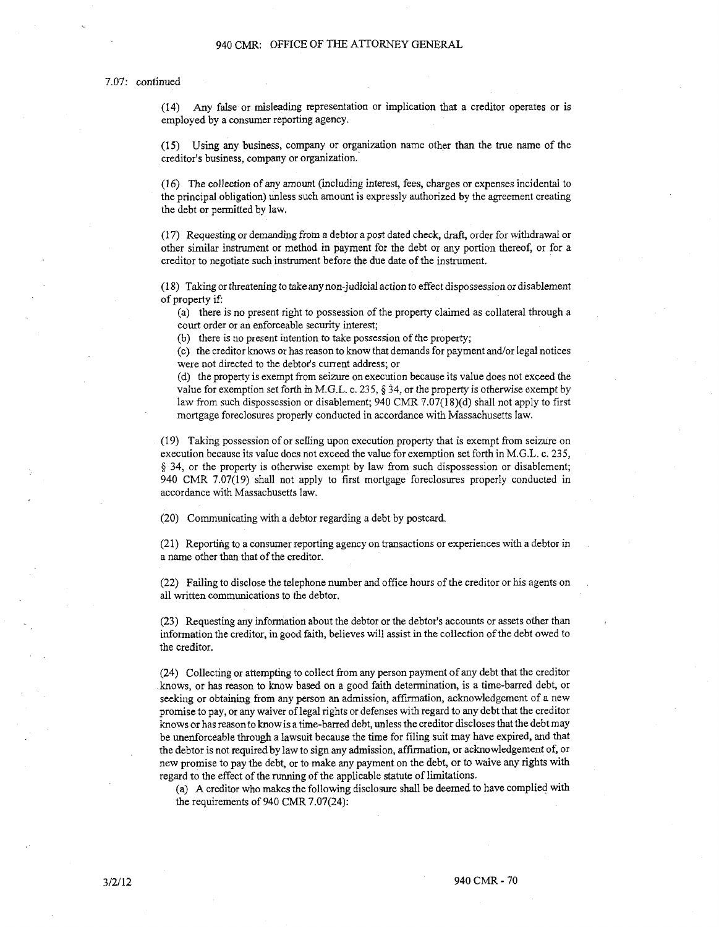### 7.07: continued

(14) Any false or misleading representation or implication that a creditor operates or is employed by a consumer reporting agency.

(15) Using any business, company or organization name other than the true name of the creditor's business, company or organization.·

( 16) The collection of any amount (including interest, fees, charges or expenses incidental to the principal obligation) unless such amount is expressly authorized by the agreement creating the debt or permitted by law.

( 17) Requesting or demanding from a debtor a post dated check, draft, order for withdrawal or other similar instrument or method in payment for the debt or any portion thereof, or for a creditor to negotiate such instrument before the due date of the instrument.

(18) Taking or threatening to take any non-judicial action *to* effect dispossession or disablement of property if:

(a) there is no present right to possession of the property claimed as collateral through a court order or an enforceable security interest;

(b) there is no present intention to take possession of the property;

( c) the creditor knows or has reason to know that demands for payment and/or legal notices were not directed to the debtor's current address; or

(d) the property is exempt from seizure on execution because its value does not exceed the value for exemption set forth in M.G.L. c. 235, *§ 34,* or the property is otherwise exempt by law from such dispossession or disablement; 940 CMR 7.07(18)(d) shall not apply to first mortgage foreclosures properly conducted in accordance with Massachusetts law.

(19) Taking possession of or selling upon execution property that is exempt from seizure on execution because its value does not exceed the value for exemption set forth in M.G.L. c. 235, § 34, or the property is otherwise exempt by law from such dispossession or disablement; 940 CMR 7.07(19) shall not apply to first mortgage foreclosures properly conducted in accordance with Massachusetts law.

(20) Communicating with a debtor regarding a debt by postcard.

(21) Reporting to a consumer reporting agency on transactions or experiences with a debtor in a name other than that of the creditor.

(22) Failing to disclose the telephone number and office hours of the creditor or his agents on all written communications to the debtor.

(23) Requesting any information about the debtor or the debtor's accounts or assets other than information the creditor, in good faith, believes will assist in the collection of the debt owed to the creditor.

(24) Collecting or attempting to collect from any person payment of any debt that the creditor knows, or has reason to know based on a good faith determination, is a time-barred debt, or seeking or obtaining from any person an admission, affirmation, acknowledgement of a new promise to pay, or any waiver oflegal rights or defenses with regard to any debt that the creditor knows or has reason to know is a time-barred debt, unless the creditor discloses that the debt may be unenforceable through a lawsuit because the time for filing suit may have expired, and that the debtor is not required by law to sign any admission, affirmation, or acknowledgement of, or new promise to pay the debt, or to make any payment on the debt, or to waive any rights with regard to the effect of the running of the applicable statute of limitations.

(a) A creditor who makes the following disclosure shall be deemed to have complied with the requirements of 940 CMR 7 .07(24):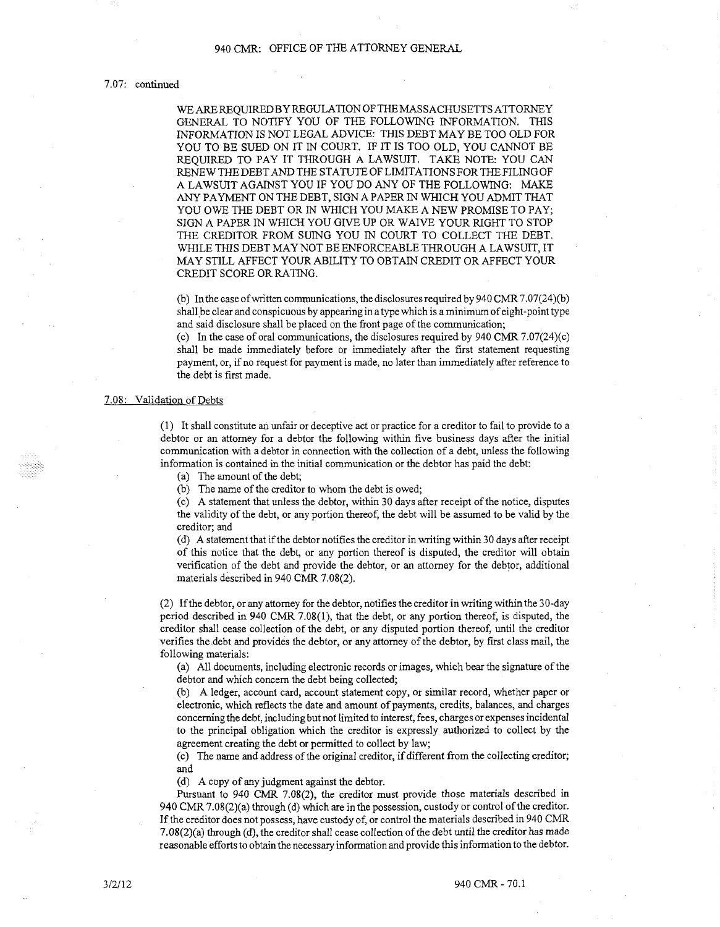## 940 CMR: OFFICE OF THE ATTORNEY GENERAL

### 7.07: continued

WE ARE REQUIRED BY REGULATION OF THE MASSACHUSETTS ATTORNEY GENERAL TO NOTIFY YOU OF THE FOLLOWING INFORMATION. THIS INFORMATION IS NOT LEGAL ADVICE: THIS DEBT MAY BE TOO OLD FOR YOU TO BE SUED ON IT IN COURT. IF IT IS TOO OLD, YOU CANNOT BE REQUIRED TO PAY IT THROUGH A LAWSUIT. TAKE NOTE: YOU CAN RENEW THE DEBT AND THE STATUTEOFLIMITATIONSFOR THE FILING OF A LAWSUIT AGAINST YOU IF YOU DO ANY OF THE FOLLOWING: MAKE ANY PAYMENT ON THE DEBT, SIGN A PAPER IN WHICH YOU ADMIT THAT YOU OWE THE DEBT OR IN WHICH YOU MAKE A NEW PROMISE TO PAY; SIGN A PAPER IN WHICH YOU GIVE UP OR WAIVE YOUR RIGHT TO STOP THE CREDITOR FROM SUING YOU IN COURT TO COLLECT THE DEBT. WHILE THIS DEBT MAY NOT BE ENFORCEABLE THROUGH A LAWSUIT, IT MAY STILL AFFECT YOUR ABILITY TO OBTAIN CREDIT OR AFFECT YOUR CREDIT SCORE OR RATING.

(b) In the case of written communications, the disclosures required by  $940$  CMR 7.07(24)(b) shall.be clear and conspicuous by appearing in a type which is a minimum of eight-point type and said disclosure shall be placed on the front page of the communication;

(c) In the case of oral communications, the disclosures required by 940 CMR 7.07(24)(c) shall be made immediately before or immediately after the first statement requesting payment, or, if no request for payment is made, no later than immediately after reference to the debt is first made.

#### 7.08: Validation of Debts

( 1) It shall constitute an unfair or deceptive act or practice for a creditor to fail to provide to a debtor or an attorney for a debtor the following within five business days after the initial communication with a debtor in connection with the collection of a debt, unless the following information is contained in the initial communication or the debtor has paid the debt:

(a) The amount of the debt;

(b) The name of the creditor to whom the debt is owed;

(c) A statement that unless the debtor, within 30 days after receipt of the notice, disputes the validity of the debt, or any portion thereof, the debt will be assumed to be valid by the creditor; and

( d) A statement that ifthe debtor notifies the creditor in writing within 30 days after receipt of this notice that the debt, or any portion thereof is disputed, the creditor will obtain verification of the debt and provide the debtor, or an attorney for the debtor, additional materials described in 940 CMR 7.08(2).

(2) If the debtor, or any attorney for the debtor, notifies the creditor in writing within the 30-day period described in 940 CMR 7.08(1), that the debt, or any portion thereof, is disputed, the creditor shall cease collection of the debt, or any disputed portion thereof, until the creditor verifies the.debt and provides the debtor, or any attorney of the debtor, by first class mail, the following materials:

(a) All documents, including electronic records or images, which bear the signature of the debtor and which concern the debt being collected;

(b) A ledger, account card, account statement copy, or similar record, whether paper or electronic, which reflects the date and amount of payments, credits, balances, and charges concerning the debt, including but not limited to interest, fees, charges or expenses incidental to the principal obligation which the creditor is expressly authorized to collect by the agreement creating the debt or permitted to collect by law;

(c) The name and address of the original creditor, if different from the collecting creditor; and

( d) A copy of any judgment against the debtor.

Pursuant to 940 CMR 7.0&(2), the creditor must provide those materials described in 940 CMR 7.08(2)(a) through (d) which are in the possession, custody or control of the creditor. If the creditor does not possess, have custody of, or control the materials described in 940 CMR 7.08(2)(a) through (d), the creditor shall cease collection of the debt until the creditor has made reasonable efforts to obtain the necessary information and provide this information to the debtor.